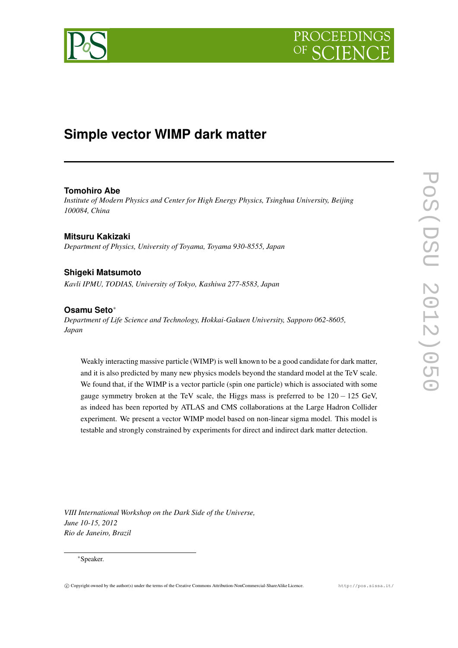

# **Simple vector WIMP dark matter**

# **Tomohiro Abe**

*Institute of Modern Physics and Center for High Energy Physics, Tsinghua University, Beijing 100084, China*

**Mitsuru Kakizaki** *Department of Physics, University of Toyama, Toyama 930-8555, Japan*

# **Shigeki Matsumoto**

*Kavli IPMU, TODIAS, University of Tokyo, Kashiwa 277-8583, Japan*

# **Osamu Seto**∗

*Department of Life Science and Technology, Hokkai-Gakuen University, Sapporo 062-8605, Japan*

Weakly interacting massive particle (WIMP) is well known to be a good candidate for dark matter, and it is also predicted by many new physics models beyond the standard model at the TeV scale. We found that, if the WIMP is a vector particle (spin one particle) which is associated with some gauge symmetry broken at the TeV scale, the Higgs mass is preferred to be  $120 - 125$  GeV, as indeed has been reported by ATLAS and CMS collaborations at the Large Hadron Collider experiment. We present a vector WIMP model based on non-linear sigma model. This model is testable and strongly constrained by experiments for direct and indirect dark matter detection.

*VIII International Workshop on the Dark Side of the Universe, June 10-15, 2012 Rio de Janeiro, Brazil*

#### ∗Speaker.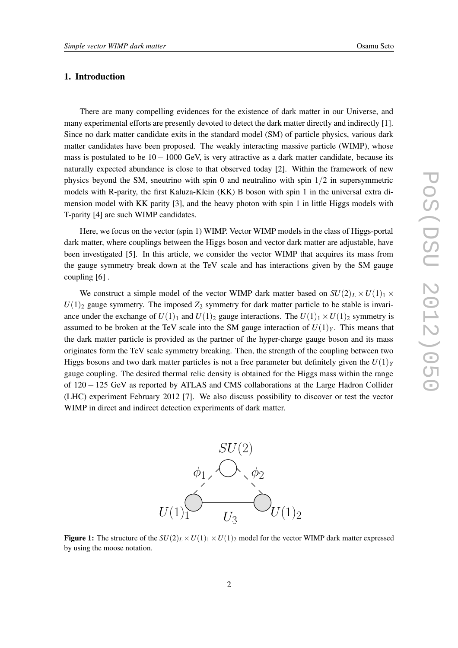# **1. Introduction**

There are many compelling evidences for the existence of dark matter in our Universe, and many experimental efforts are presently devoted to detect the dark matter directly and indirectly [1]. Since no dark matter candidate exits in the standard model (SM) of particle physics, various dark matter candidates have been proposed. The weakly interacting massive particle (WIMP), whose mass is postulated to be  $10-1000$  GeV, is very attractive as a dark matter candidate, because its naturally expected abundance is close to that observed today [2]. Within the framework of new physics beyond the SM, sneutrino with spin 0 and neutralino with spin 1/2 in supersymmetric models with R-parity, the first Kaluza-Klein (KK) B boson with spin 1 in the universal extra dimension model with KK parity [3], and the heavy photon with spin 1 in little Higgs models with T-parity [4] are such WIMP candidates.

Here, we focus on the vector (spin 1) WIMP. Vector WIMP models in the class of Higgs-portal dark matter, where couplings between the Higgs boson and vector dark matter are adjustable, have been investigated [5]. In this article, we consider the vector WIMP that acquires its mass from the gauge symmetry break down at the TeV scale and has interactions given by the SM gauge coupling [6] .

We construct a simple model of the vector WIMP dark matter based on  $SU(2)_L \times U(1)_1 \times$  $U(1)_2$  gauge symmetry. The imposed  $Z_2$  symmetry for dark matter particle to be stable is invariance under the exchange of  $U(1)_1$  and  $U(1)_2$  gauge interactions. The  $U(1)_1 \times U(1)_2$  symmetry is assumed to be broken at the TeV scale into the SM gauge interaction of  $U(1)_Y$ . This means that the dark matter particle is provided as the partner of the hyper-charge gauge boson and its mass originates form the TeV scale symmetry breaking. Then, the strength of the coupling between two Higgs bosons and two dark matter particles is not a free parameter but definitely given the  $U(1)_Y$ gauge coupling. The desired thermal relic density is obtained for the Higgs mass within the range of 120 − 125 GeV as reported by ATLAS and CMS collaborations at the Large Hadron Collider (LHC) experiment February 2012 [7]. We also discuss possibility to discover or test the vector WIMP in direct and indirect detection experiments of dark matter.



**Figure 1:** The structure of the  $SU(2)_L \times U(1)_1 \times U(1)_2$  model for the vector WIMP dark matter expressed by using the moose notation.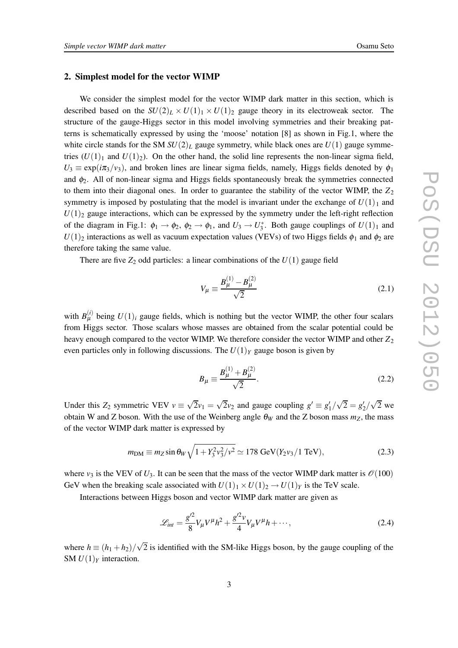#### **2. Simplest model for the vector WIMP**

We consider the simplest model for the vector WIMP dark matter in this section, which is described based on the  $SU(2)_L \times U(1)_1 \times U(1)_2$  gauge theory in its electroweak sector. The structure of the gauge-Higgs sector in this model involving symmetries and their breaking patterns is schematically expressed by using the 'moose' notation [8] as shown in Fig.1, where the white circle stands for the SM  $SU(2)_L$  gauge symmetry, while black ones are  $U(1)$  gauge symmetries  $(U(1)_1$  and  $U(1)_2$ ). On the other hand, the solid line represents the non-linear sigma field,  $U_3 \equiv \exp(i\pi_3/\nu_3)$ , and broken lines are linear sigma fields, namely, Higgs fields denoted by  $\phi_1$ and  $\phi_2$ . All of non-linear sigma and Higgs fields spontaneously break the symmetries connected to them into their diagonal ones. In order to guarantee the stability of the vector WIMP, the  $Z_2$ symmetry is imposed by postulating that the model is invariant under the exchange of  $U(1)_1$  and  $U(1)_2$  gauge interactions, which can be expressed by the symmetry under the left-right reflection of the diagram in Fig.1:  $\phi_1 \to \phi_2$ ,  $\phi_2 \to \phi_1$ , and  $U_3 \to U_3^*$ . Both gauge couplings of  $U(1)_1$  and  $U(1)_2$  interactions as well as vacuum expectation values (VEVs) of two Higgs fields  $\phi_1$  and  $\phi_2$  are therefore taking the same value.

There are five  $Z_2$  odd particles: a linear combinations of the  $U(1)$  gauge field

$$
V_{\mu} \equiv \frac{B_{\mu}^{(1)} - B_{\mu}^{(2)}}{\sqrt{2}} \tag{2.1}
$$

with  $B_{\mu}^{(i)}$  being  $U(1)_i$  gauge fields, which is nothing but the vector WIMP, the other four scalars from Higgs sector. Those scalars whose masses are obtained from the scalar potential could be heavy enough compared to the vector WIMP. We therefore consider the vector WIMP and other  $Z_2$ even particles only in following discussions. The  $U(1)_Y$  gauge boson is given by

$$
B_{\mu} \equiv \frac{B_{\mu}^{(1)} + B_{\mu}^{(2)}}{\sqrt{2}}.
$$
 (2.2)

Under this  $Z_2$  symmetric VEV  $v \equiv \sqrt{2}v_1 = \sqrt{2}v_2$  and gauge coupling  $g' \equiv g'_1/\sqrt{2} = g'_2/\sqrt{2}$  we obtain W and Z boson. With the use of the Weinberg angle  $\theta_W$  and the Z boson mass  $m_Z$ , the mass of the vector WIMP dark matter is expressed by

$$
m_{\rm DM} \equiv m_Z \sin \theta_W \sqrt{1 + Y_3^2 v_3^2 / v^2} \simeq 178 \text{ GeV} (Y_2 v_3 / 1 \text{ TeV}), \tag{2.3}
$$

where  $v_3$  is the VEV of  $U_3$ . It can be seen that the mass of the vector WIMP dark matter is  $\mathcal{O}(100)$ GeV when the breaking scale associated with  $U(1)_1 \times U(1)_2 \rightarrow U(1)_Y$  is the TeV scale.

Interactions between Higgs boson and vector WIMP dark matter are given as

$$
\mathcal{L}_{int} = \frac{g^{\prime 2}}{8} V_{\mu} V^{\mu} h^2 + \frac{g^{\prime 2} v}{4} V_{\mu} V^{\mu} h + \cdots, \qquad (2.4)
$$

where  $h \equiv (h_1 + h_2) / \sqrt{2}$  is identified with the SM-like Higgs boson, by the gauge coupling of the SM  $U(1)_Y$  interaction.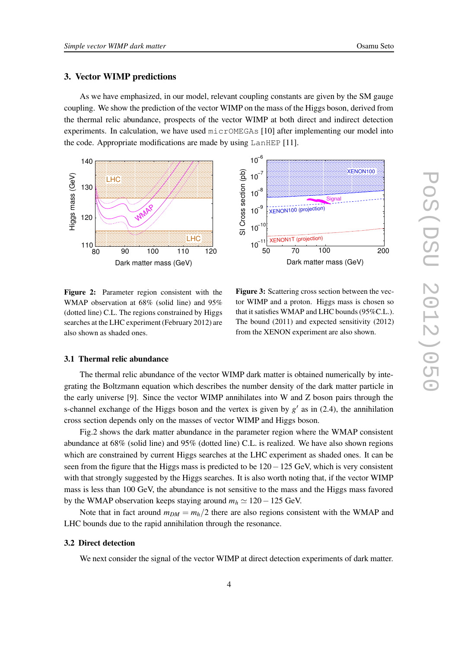#### **3. Vector WIMP predictions**

As we have emphasized, in our model, relevant coupling constants are given by the SM gauge coupling. We show the prediction of the vector WIMP on the mass of the Higgs boson, derived from the thermal relic abundance, prospects of the vector WIMP at both direct and indirect detection experiments. In calculation, we have used micrOMEGAs [10] after implementing our model into the code. Appropriate modifications are made by using LanHEP [11].





**Figure 2:** Parameter region consistent with the WMAP observation at 68% (solid line) and 95% (dotted line) C.L. The regions constrained by Higgs searches at the LHC experiment(February 2012) are also shown as shaded ones.

**Figure 3:** Scattering cross section between the vector WIMP and a proton. Higgs mass is chosen so that it satisfies WMAP and LHC bounds(95%C.L.). The bound (2011) and expected sensitivity (2012) from the XENON experiment are also shown.

#### **3.1 Thermal relic abundance**

The thermal relic abundance of the vector WIMP dark matter is obtained numerically by integrating the Boltzmann equation which describes the number density of the dark matter particle in the early universe [9]. Since the vector WIMP annihilates into W and Z boson pairs through the s-channel exchange of the Higgs boson and the vertex is given by  $g'$  as in (2.4), the annihilation cross section depends only on the masses of vector WIMP and Higgs boson.

Fig.2 shows the dark matter abundance in the parameter region where the WMAP consistent abundance at 68% (solid line) and 95% (dotted line) C.L. is realized. We have also shown regions which are constrained by current Higgs searches at the LHC experiment as shaded ones. It can be seen from the figure that the Higgs mass is predicted to be 120−125 GeV, which is very consistent with that strongly suggested by the Higgs searches. It is also worth noting that, if the vector WIMP mass is less than 100 GeV, the abundance is not sensitive to the mass and the Higgs mass favored by the WMAP observation keeps staying around  $m_h \approx 120 - 125$  GeV.

Note that in fact around  $m_{DM} = m_h/2$  there are also regions consistent with the WMAP and LHC bounds due to the rapid annihilation through the resonance.

### **3.2 Direct detection**

We next consider the signal of the vector WIMP at direct detection experiments of dark matter.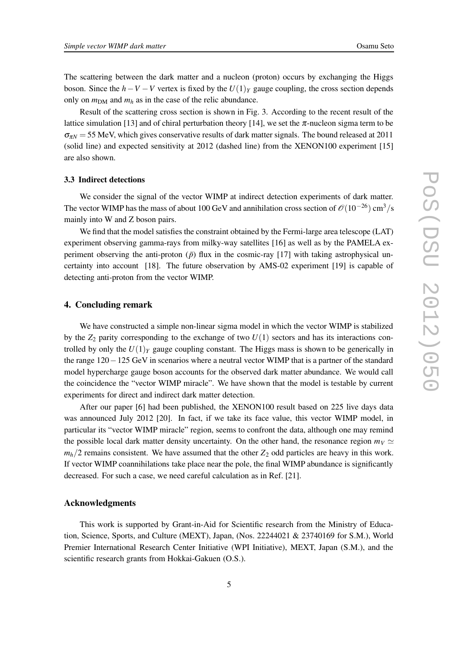The scattering between the dark matter and a nucleon (proton) occurs by exchanging the Higgs boson. Since the  $h$ −*V* −*V* vertex is fixed by the  $U(1)_Y$  gauge coupling, the cross section depends only on  $m_{DM}$  and  $m_h$  as in the case of the relic abundance.

Result of the scattering cross section is shown in Fig. 3. According to the recent result of the lattice simulation [13] and of chiral perturbation theory [14], we set the  $\pi$ -nucleon sigma term to be  $\sigma_{\pi N}$  = 55 MeV, which gives conservative results of dark matter signals. The bound released at 2011 (solid line) and expected sensitivity at 2012 (dashed line) from the XENON100 experiment [15] are also shown.

#### **3.3 Indirect detections**

We consider the signal of the vector WIMP at indirect detection experiments of dark matter. The vector WIMP has the mass of about 100 GeV and annihilation cross section of  $\mathcal{O}(10^{-26})$  cm<sup>3</sup>/s mainly into W and Z boson pairs.

We find that the model satisfies the constraint obtained by the Fermi-large area telescope (LAT) experiment observing gamma-rays from milky-way satellites [16] as well as by the PAMELA experiment observing the anti-proton  $(\bar{p})$  flux in the cosmic-ray [17] with taking astrophysical uncertainty into account [18]. The future observation by AMS-02 experiment [19] is capable of detecting anti-proton from the vector WIMP.

#### **4. Concluding remark**

We have constructed a simple non-linear sigma model in which the vector WIMP is stabilized by the  $Z_2$  parity corresponding to the exchange of two  $U(1)$  sectors and has its interactions controlled by only the  $U(1)_Y$  gauge coupling constant. The Higgs mass is shown to be generically in the range 120−125 GeV in scenarios where a neutral vector WIMP that is a partner of the standard model hypercharge gauge boson accounts for the observed dark matter abundance. We would call the coincidence the "vector WIMP miracle". We have shown that the model is testable by current experiments for direct and indirect dark matter detection.

After our paper [6] had been published, the XENON100 result based on 225 live days data was announced July 2012 [20]. In fact, if we take its face value, this vector WIMP model, in particular its "vector WIMP miracle" region, seems to confront the data, although one may remind the possible local dark matter density uncertainty. On the other hand, the resonance region  $m_V \simeq$  $m_h/2$  remains consistent. We have assumed that the other  $Z_2$  odd particles are heavy in this work. If vector WIMP coannihilations take place near the pole, the final WIMP abundance is significantly decreased. For such a case, we need careful calculation as in Ref. [21].

#### **Acknowledgments**

This work is supported by Grant-in-Aid for Scientific research from the Ministry of Education, Science, Sports, and Culture (MEXT), Japan, (Nos. 22244021 & 23740169 for S.M.), World Premier International Research Center Initiative (WPI Initiative), MEXT, Japan (S.M.), and the scientific research grants from Hokkai-Gakuen (O.S.).